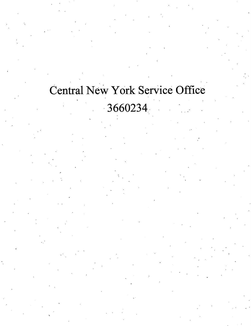## Central New York Service Office

3660234

**s**